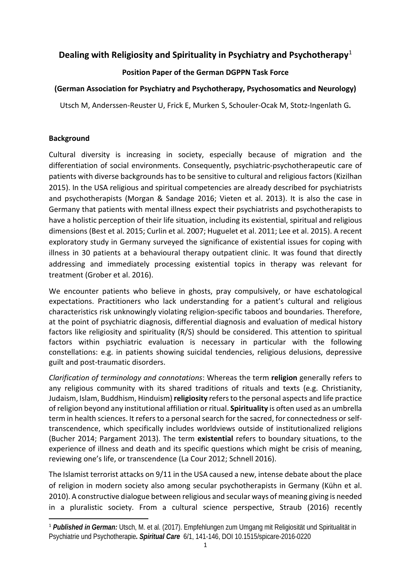# **Dealing with Religiosity and Spirituality in Psychiatry and Psychotherapy**[1](#page-0-0)

# **Position Paper of the German DGPPN Task Force**

# **(German Association for Psychiatry and Psychotherapy, Psychosomatics and Neurology)**

Utsch M, Anderssen-Reuster U, Frick E, Murken S, Schouler-Ocak M, Stotz-Ingenlath G**.**

### **Background**

Cultural diversity is increasing in society, especially because of migration and the differentiation of social environments. Consequently, psychiatric-psychotherapeutic care of patients with diverse backgrounds has to be sensitive to cultural and religious factors (Kizilhan 2015). In the USA religious and spiritual competencies are already described for psychiatrists and psychotherapists (Morgan & Sandage 2016; Vieten et al. 2013). It is also the case in Germany that patients with mental illness expect their psychiatrists and psychotherapists to have a holistic perception of their life situation, including its existential, spiritual and religious dimensions (Best et al. 2015; Curlin et al. 2007; Huguelet et al. 2011; Lee et al. 2015). A recent exploratory study in Germany surveyed the significance of existential issues for coping with illness in 30 patients at a behavioural therapy outpatient clinic. It was found that directly addressing and immediately processing existential topics in therapy was relevant for treatment (Grober et al. 2016).

We encounter patients who believe in ghosts, pray compulsively, or have eschatological expectations. Practitioners who lack understanding for a patient's cultural and religious characteristics risk unknowingly violating religion-specific taboos and boundaries. Therefore, at the point of psychiatric diagnosis, differential diagnosis and evaluation of medical history factors like religiosity and spirituality (R/S) should be considered. This attention to spiritual factors within psychiatric evaluation is necessary in particular with the following constellations: e.g. in patients showing suicidal tendencies, religious delusions, depressive guilt and post-traumatic disorders.

*Clarification of terminology and connotations*: Whereas the term **religion** generally refers to any religious community with its shared traditions of rituals and texts (e.g. Christianity, Judaism, Islam, Buddhism, Hinduism) **religiosity** refers to the personal aspects and life practice of religion beyond any institutional affiliation or ritual. **Spirituality** is often used as an umbrella term in health sciences. It refers to a personal search for the sacred, for connectedness orselftranscendence, which specifically includes worldviews outside of institutionalized religions (Bucher 2014; Pargament 2013). The term **existential** refers to boundary situations, to the experience of illness and death and its specific questions which might be crisis of meaning, reviewing one's life, or transcendence (La Cour 2012; Schnell 2016).

The Islamist terrorist attacks on 9/11 in the USA caused a new, intense debate about the place of religion in modern society also among secular psychotherapists in Germany (Kühn et al. 2010). A constructive dialogue between religious and secular ways of meaning giving is needed in a pluralistic society. From a cultural science perspective, Straub (2016) recently

<span id="page-0-0"></span> <sup>1</sup> *Published in German:* Utsch, M. et al. (2017). Empfehlungen zum Umgang mit Religiosität und Spiritualität in Psychiatrie und Psychotherapie*. Spiritual Care* 6/1, 141-146, DOI 10.1515/spicare-2016-0220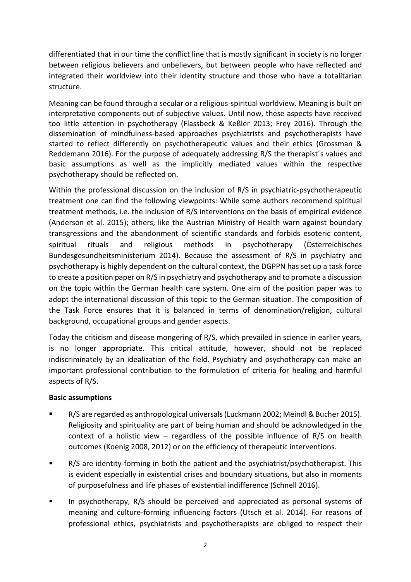differentiated that in our time the conflict line that is mostly significant in society is no longer between religious believers and unbelievers, but between people who have reflected and integrated their worldview into their identity structure and those who have a totalitarian structure.

Meaning can be found through a secular or a religious-spiritual worldview. Meaning is built on interpretative components out of subjective values. Until now, these aspects have received too little attention in psychotherapy (Flassbeck & Keßler 2013; Frey 2016). Through the dissemination of mindfulness-based approaches psychiatrists and psychotherapists have started to reflect differently on psychotherapeutic values and their ethics (Grossman & Reddemann 2016). For the purpose of adequately addressing R/S the therapist´s values and basic assumptions as well as the implicitly mediated values within the respective psychotherapy should be reflected on.

Within the professional discussion on the inclusion of R/S in psychiatric-psychotherapeutic treatment one can find the following viewpoints: While some authors recommend spiritual treatment methods, i.e. the inclusion of R/S interventions on the basis of empirical evidence (Anderson et al. 2015); others, like the Austrian Ministry of Health warn against boundary transgressions and the abandonment of scientific standards and forbids esoteric content, spiritual rituals and religious methods in psychotherapy (Österreichisches Bundesgesundheitsministerium 2014). Because the assessment of R/S in psychiatry and psychotherapy is highly dependent on the cultural context, the DGPPN has set up a task force to create a position paper on R/S in psychiatry and psychotherapy and to promote a discussion on the topic within the German health care system. One aim of the position paper was to adopt the international discussion of this topic to the German situation. The composition of the Task Force ensures that it is balanced in terms of denomination/religion, cultural background, occupational groups and gender aspects.

Today the criticism and disease mongering of R/S, which prevailed in science in earlier years, is no longer appropriate. This critical attitude, however, should not be replaced indiscriminately by an idealization of the field. Psychiatry and psychotherapy can make an important professional contribution to the formulation of criteria for healing and harmful aspects of R/S.

### **Basic assumptions**

- R/S are regarded as anthropological universals (Luckmann 2002; Meindl & Bucher 2015). Religiosity and spirituality are part of being human and should be acknowledged in the context of a holistic view – regardless of the possible influence of R/S on health outcomes (Koenig 2008, 2012) or on the efficiency of therapeutic interventions.
- R/S are identity-forming in both the patient and the psychiatrist/psychotherapist. This is evident especially in existential crises and boundary situations, but also in moments of purposefulness and life phases of existential indifference (Schnell 2016).
- In psychotherapy, R/S should be perceived and appreciated as personal systems of meaning and culture-forming influencing factors (Utsch et al. 2014). For reasons of professional ethics, psychiatrists and psychotherapists are obliged to respect their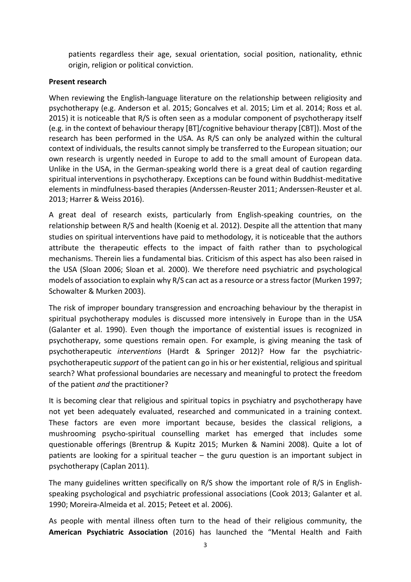patients regardless their age, sexual orientation, social position, nationality, ethnic origin, religion or political conviction.

### **Present research**

When reviewing the English-language literature on the relationship between religiosity and psychotherapy (e.g. Anderson et al. 2015; Goncalves et al. 2015; Lim et al. 2014; Ross et al. 2015) it is noticeable that R/S is often seen as a modular component of psychotherapy itself (e.g. in the context of behaviour therapy [BT]/cognitive behaviour therapy [CBT]). Most of the research has been performed in the USA. As R/S can only be analyzed within the cultural context of individuals, the results cannot simply be transferred to the European situation; our own research is urgently needed in Europe to add to the small amount of European data. Unlike in the USA, in the German-speaking world there is a great deal of caution regarding spiritual interventions in psychotherapy. Exceptions can be found within Buddhist-meditative elements in mindfulness-based therapies (Anderssen-Reuster 2011; Anderssen-Reuster et al. 2013; Harrer & Weiss 2016).

A great deal of research exists, particularly from English-speaking countries, on the relationship between R/S and health (Koenig et al. 2012). Despite all the attention that many studies on spiritual interventions have paid to methodology, it is noticeable that the authors attribute the therapeutic effects to the impact of faith rather than to psychological mechanisms. Therein lies a fundamental bias. Criticism of this aspect has also been raised in the USA (Sloan 2006; Sloan et al. 2000). We therefore need psychiatric and psychological models of association to explain why R/S can act as a resource or a stress factor (Murken 1997; Schowalter & Murken 2003).

The risk of improper boundary transgression and encroaching behaviour by the therapist in spiritual psychotherapy modules is discussed more intensively in Europe than in the USA (Galanter et al. 1990). Even though the importance of existential issues is recognized in psychotherapy, some questions remain open. For example, is giving meaning the task of psychotherapeutic *interventions* (Hardt & Springer 2012)? How far the psychiatricpsychotherapeutic *support* of the patient can go in his or her existential, religious and spiritual search? What professional boundaries are necessary and meaningful to protect the freedom of the patient *and* the practitioner?

It is becoming clear that religious and spiritual topics in psychiatry and psychotherapy have not yet been adequately evaluated, researched and communicated in a training context. These factors are even more important because, besides the classical religions, a mushrooming psycho-spiritual counselling market has emerged that includes some questionable offerings (Brentrup & Kupitz 2015; Murken & Namini 2008). Quite a lot of patients are looking for a spiritual teacher – the guru question is an important subject in psychotherapy (Caplan 2011).

The many guidelines written specifically on R/S show the important role of R/S in Englishspeaking psychological and psychiatric professional associations (Cook 2013; Galanter et al. 1990; Moreira-Almeida et al. 2015; Peteet et al. 2006).

As people with mental illness often turn to the head of their religious community, the **American Psychiatric Association** (2016) has launched the "Mental Health and Faith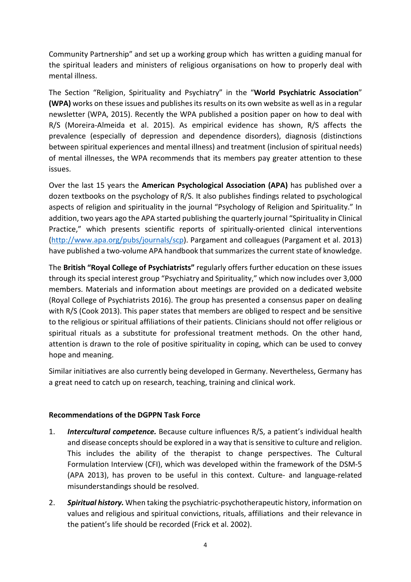Community Partnership" and set up a working group which has written a guiding manual for the spiritual leaders and ministers of religious organisations on how to properly deal with mental illness.

The Section "Religion, Spirituality and Psychiatry" in the "**World Psychiatric Association**" **(WPA)** works on these issues and publishes its results on its own website as well as in a regular newsletter (WPA, 2015). Recently the WPA published a position paper on how to deal with R/S (Moreira-Almeida et al. 2015). As empirical evidence has shown, R/S affects the prevalence (especially of depression and dependence disorders), diagnosis (distinctions between spiritual experiences and mental illness) and treatment (inclusion of spiritual needs) of mental illnesses, the WPA recommends that its members pay greater attention to these issues.

Over the last 15 years the **American Psychological Association (APA)** has published over a dozen textbooks on the psychology of R/S. It also publishes findings related to psychological aspects of religion and spirituality in the journal "Psychology of Religion and Spirituality." In addition, two years ago the APA started publishing the quarterly journal "Spirituality in Clinical Practice," which presents scientific reports of spiritually-oriented clinical interventions [\(http://www.apa.org/pubs/journals/scp\)](http://www.apa.org/pubs/journals/scp). Pargament and colleagues (Pargament et al. 2013) have published a two-volume APA handbook that summarizes the current state of knowledge.

The **British "Royal College of Psychiatrists"** regularly offers further education on these issues through its special interest group "Psychiatry and Spirituality," which now includes over 3,000 members. Materials and information about meetings are provided on a dedicated website (Royal College of Psychiatrists 2016). The group has presented a consensus paper on dealing with R/S (Cook 2013). This paper states that members are obliged to respect and be sensitive to the religious or spiritual affiliations of their patients. Clinicians should not offer religious or spiritual rituals as a substitute for professional treatment methods. On the other hand, attention is drawn to the role of positive spirituality in coping, which can be used to convey hope and meaning.

Similar initiatives are also currently being developed in Germany. Nevertheless, Germany has a great need to catch up on research, teaching, training and clinical work.

#### **Recommendations of the DGPPN Task Force**

- 1. *Intercultural competence.* Because culture influences R/S, a patient's individual health and disease concepts should be explored in a way that is sensitive to culture and religion. This includes the ability of the therapist to change perspectives. The Cultural Formulation Interview (CFI), which was developed within the framework of the DSM-5 (APA 2013), has proven to be useful in this context. Culture- and language-related misunderstandings should be resolved.
- 2. *Spiritual history.* When taking the psychiatric-psychotherapeutic history, information on values and religious and spiritual convictions, rituals, affiliations and their relevance in the patient's life should be recorded (Frick et al. 2002).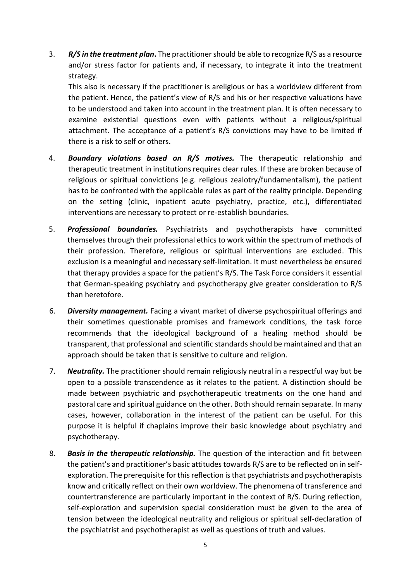3. *R/S in the treatment plan***.** The practitioner should be able to recognize R/S as a resource and/or stress factor for patients and, if necessary, to integrate it into the treatment strategy.

This also is necessary if the practitioner is areligious or has a worldview different from the patient. Hence, the patient's view of R/S and his or her respective valuations have to be understood and taken into account in the treatment plan. It is often necessary to examine existential questions even with patients without a religious/spiritual attachment. The acceptance of a patient's R/S convictions may have to be limited if there is a risk to self or others.

- 4. *Boundary violations based on R/S motives.* The therapeutic relationship and therapeutic treatment in institutions requires clear rules. If these are broken because of religious or spiritual convictions (e.g. religious zealotry/fundamentalism), the patient has to be confronted with the applicable rules as part of the reality principle. Depending on the setting (clinic, inpatient acute psychiatry, practice, etc.), differentiated interventions are necessary to protect or re-establish boundaries.
- 5. *Professional boundaries.* Psychiatrists and psychotherapists have committed themselves through their professional ethics to work within the spectrum of methods of their profession. Therefore, religious or spiritual interventions are excluded. This exclusion is a meaningful and necessary self-limitation. It must nevertheless be ensured that therapy provides a space for the patient's R/S. The Task Force considers it essential that German-speaking psychiatry and psychotherapy give greater consideration to R/S than heretofore.
- 6. *Diversity management.* Facing a vivant market of diverse psychospiritual offerings and their sometimes questionable promises and framework conditions, the task force recommends that the ideological background of a healing method should be transparent, that professional and scientific standards should be maintained and that an approach should be taken that is sensitive to culture and religion.
- 7. *Neutrality.* The practitioner should remain religiously neutral in a respectful way but be open to a possible transcendence as it relates to the patient. A distinction should be made between psychiatric and psychotherapeutic treatments on the one hand and pastoral care and spiritual guidance on the other. Both should remain separate. In many cases, however, collaboration in the interest of the patient can be useful. For this purpose it is helpful if chaplains improve their basic knowledge about psychiatry and psychotherapy.
- 8. *Basis in the therapeutic relationship.* The question of the interaction and fit between the patient's and practitioner's basic attitudes towards R/S are to be reflected on in selfexploration. The prerequisite for this reflection is that psychiatrists and psychotherapists know and critically reflect on their own worldview. The phenomena of transference and countertransference are particularly important in the context of R/S. During reflection, self-exploration and supervision special consideration must be given to the area of tension between the ideological neutrality and religious or spiritual self-declaration of the psychiatrist and psychotherapist as well as questions of truth and values.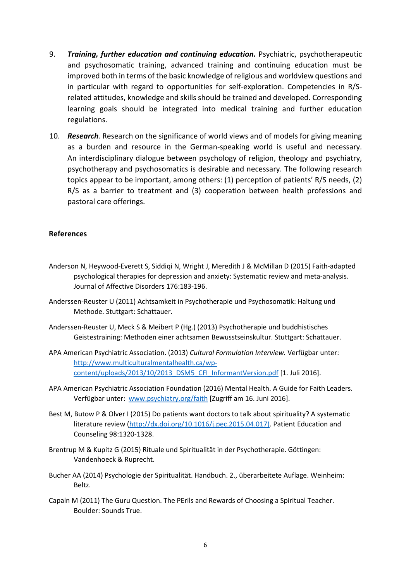- 9. *Training, further education and continuing education.* Psychiatric, psychotherapeutic and psychosomatic training, advanced training and continuing education must be improved both in terms of the basic knowledge of religious and worldview questions and in particular with regard to opportunities for self-exploration. Competencies in R/Srelated attitudes, knowledge and skills should be trained and developed. Corresponding learning goals should be integrated into medical training and further education regulations.
- 10. *Research.* Research on the significance of world views and of models for giving meaning as a burden and resource in the German-speaking world is useful and necessary. An interdisciplinary dialogue between psychology of religion, theology and psychiatry, psychotherapy and psychosomatics is desirable and necessary. The following research topics appear to be important, among others: (1) perception of patients' R/S needs, (2) R/S as a barrier to treatment and (3) cooperation between health professions and pastoral care offerings.

#### **References**

- Anderson N, Heywood-Everett S, Siddiqi N, Wright J, Meredith J & McMillan D (2015) Faith-adapted psychological therapies for depression and anxiety: Systematic review and meta-analysis. Journal of Affective Disorders 176:183-196.
- Anderssen-Reuster U (2011) Achtsamkeit in Psychotherapie und Psychosomatik: Haltung und Methode. Stuttgart: Schattauer.
- Anderssen-Reuster U, Meck S & Meibert P (Hg.) (2013) Psychotherapie und buddhistisches Geistestraining: Methoden einer achtsamen Bewusstseinskultur. Stuttgart: Schattauer.
- APA American Psychiatric Association. (2013) *Cultural Formulation Interview.* Verfügbar unter: [http://www.multiculturalmentalhealth.ca/wp](http://www.multiculturalmentalhealth.ca/wp-content/uploads/2013/10/2013_DSM5_CFI_InformantVersion.pdf)[content/uploads/2013/10/2013\\_DSM5\\_CFI\\_InformantVersion.pdf](http://www.multiculturalmentalhealth.ca/wp-content/uploads/2013/10/2013_DSM5_CFI_InformantVersion.pdf) [1. Juli 2016].
- APA American Psychiatric Association Foundation (2016) Mental Health. A Guide for Faith Leaders. Verfügbar unter: [www.psychiatry.org/faith](http://www.psychiatry.org/faith) [Zugriff am 16. Juni 2016].
- Best M, Butow P & Olver I (2015) Do patients want doctors to talk about spirituality? A systematic literature review [\(http://dx.doi.org/10.1016/j.pec.2015.04.017\).](http://dx.doi.org/10.1016/j.pec.2015.04.017)) Patient Education and Counseling 98:1320-1328.
- Brentrup M & Kupitz G (2015) Rituale und Spiritualität in der Psychotherapie. Göttingen: Vandenhoeck & Ruprecht.
- Bucher AA (2014) Psychologie der Spiritualität. Handbuch. 2., überarbeitete Auflage. Weinheim: Beltz.
- Capaln M (2011) The Guru Question. The PErils and Rewards of Choosing a Spiritual Teacher. Boulder: Sounds True.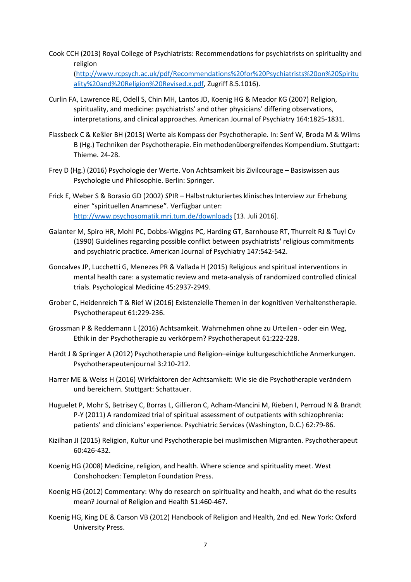Cook CCH (2013) Royal College of Psychiatrists: Recommendations for psychiatrists on spirituality and religion

[\(http://www.rcpsych.ac.uk/pdf/Recommendations%20for%20Psychiatrists%20on%20Spiritu](http://www.rcpsych.ac.uk/pdf/Recommendations%20for%20Psychiatrists%20on%20Spirituality%20and%20Religion%20Revised.x.pdf) [ality%20and%20Religion%20Revised.x.pdf,](http://www.rcpsych.ac.uk/pdf/Recommendations%20for%20Psychiatrists%20on%20Spirituality%20and%20Religion%20Revised.x.pdf) Zugriff 8.5.1016).

- Curlin FA, Lawrence RE, Odell S, Chin MH, Lantos JD, Koenig HG & Meador KG (2007) Religion, spirituality, and medicine: psychiatrists' and other physicians' differing observations, interpretations, and clinical approaches. American Journal of Psychiatry 164:1825-1831.
- Flassbeck C & Keßler BH (2013) Werte als Kompass der Psychotherapie. In: Senf W, Broda M & Wilms B (Hg.) Techniken der Psychotherapie. Ein methodenübergreifendes Kompendium. Stuttgart: Thieme. 24-28.
- Frey D (Hg.) (2016) Psychologie der Werte. Von Achtsamkeit bis Zivilcourage Basiswissen aus Psychologie und Philosophie. Berlin: Springer.
- Frick E, Weber S & Borasio GD (2002) *S*PIR Halbstrukturiertes klinisches Interview zur Erhebung einer "spirituellen Anamnese". Verfügbar unter: <http://www.psychosomatik.mri.tum.de/downloads> [13. Juli 2016].
- Galanter M, Spiro HR, MohI PC, Dobbs-Wiggins PC, Harding GT, Barnhouse RT, Thurrelt RJ & Tuyl Cv (1990) Guidelines regarding possible conflict between psychiatrists' religious commitments and psychiatric practice. American Journal of Psychiatry 147:542-542.
- Goncalves JP, Lucchetti G, Menezes PR & Vallada H (2015) Religious and spiritual interventions in mental health care: a systematic review and meta-analysis of randomized controlled clinical trials. Psychological Medicine 45:2937-2949.
- Grober C, Heidenreich T & Rief W (2016) Existenzielle Themen in der kognitiven Verhaltenstherapie. Psychotherapeut 61:229-236.
- Grossman P & Reddemann L (2016) Achtsamkeit. Wahrnehmen ohne zu Urteilen oder ein Weg, Ethik in der Psychotherapie zu verkörpern? Psychotherapeut 61:222-228.
- Hardt J & Springer A (2012) Psychotherapie und Religion–einige kulturgeschichtliche Anmerkungen. Psychotherapeutenjournal 3:210-212.
- Harrer ME & Weiss H (2016) Wirkfaktoren der Achtsamkeit: Wie sie die Psychotherapie verändern und bereichern. Stuttgart: Schattauer.
- Huguelet P, Mohr S, Betrisey C, Borras L, Gillieron C, Adham-Mancini M, Rieben I, Perroud N & Brandt P-Y (2011) A randomized trial of spiritual assessment of outpatients with schizophrenia: patients' and clinicians' experience. Psychiatric Services (Washington, D.C.) 62:79-86.
- Kizilhan JI (2015) Religion, Kultur und Psychotherapie bei muslimischen Migranten. Psychotherapeut 60:426-432.
- Koenig HG (2008) Medicine, religion, and health. Where science and spirituality meet. West Conshohocken: Templeton Foundation Press.
- Koenig HG (2012) Commentary: Why do research on spirituality and health, and what do the results mean? Journal of Religion and Health 51:460-467.
- Koenig HG, King DE & Carson VB (2012) Handbook of Religion and Health, 2nd ed. New York: Oxford University Press.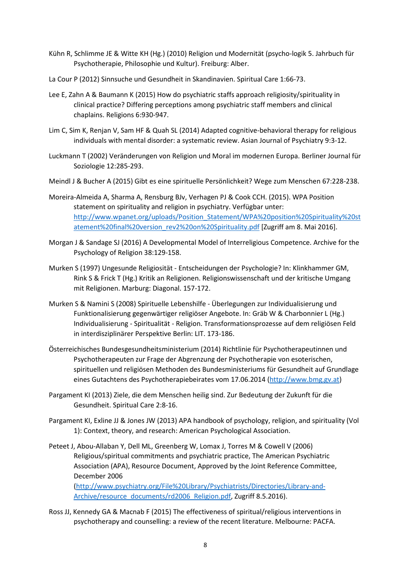- Kühn R, Schlimme JE & Witte KH (Hg.) (2010) Religion und Modernität (psycho-logik 5. Jahrbuch für Psychotherapie, Philosophie und Kultur). Freiburg: Alber.
- La Cour P (2012) Sinnsuche und Gesundheit in Skandinavien. Spiritual Care 1:66-73.
- Lee E, Zahn A & Baumann K (2015) How do psychiatric staffs approach religiosity/spirituality in clinical practice? Differing perceptions among psychiatric staff members and clinical chaplains. Religions 6:930-947.
- Lim C, Sim K, Renjan V, Sam HF & Quah SL (2014) Adapted cognitive-behavioral therapy for religious individuals with mental disorder: a systematic review. Asian Journal of Psychiatry 9:3-12.
- Luckmann T (2002) Veränderungen von Religion und Moral im modernen Europa. Berliner Journal für Soziologie 12:285-293.
- Meindl J & Bucher A (2015) Gibt es eine spirituelle Persönlichkeit? Wege zum Menschen 67:228-238.
- Moreira-Almeida A, Sharma A, Rensburg BJv, Verhagen PJ & Cook CCH. (2015). WPA Position statement on spirituality and religion in psychiatry. Verfügbar unter: [http://www.wpanet.org/uploads/Position\\_Statement/WPA%20position%20Spirituality%20st](http://www.wpanet.org/uploads/Position_Statement/WPA%20position%20Spirituality%20statement%20final%20version_rev2%20on%20Spirituality.pdf) [atement%20final%20version\\_rev2%20on%20Spirituality.pdf](http://www.wpanet.org/uploads/Position_Statement/WPA%20position%20Spirituality%20statement%20final%20version_rev2%20on%20Spirituality.pdf) [Zugriff am 8. Mai 2016].
- Morgan J & Sandage SJ (2016) A Developmental Model of Interreligious Competence. Archive for the Psychology of Religion 38:129-158.
- Murken S (1997) Ungesunde Religiosität Entscheidungen der Psychologie? In: Klinkhammer GM, Rink S & Frick T (Hg.) Kritik an Religionen. Religionswissenschaft und der kritische Umgang mit Religionen. Marburg: Diagonal. 157-172.
- Murken S & Namini S (2008) Spirituelle Lebenshilfe Überlegungen zur Individualisierung und Funktionalisierung gegenwärtiger religiöser Angebote. In: Gräb W & Charbonnier L (Hg.) Individualisierung - Spiritualität - Religion. Transformationsprozesse auf dem religiösen Feld in interdisziplinärer Perspektive Berlin: LIT. 173-186.
- Österreichisches Bundesgesundheitsministerium (2014) Richtlinie für Psychotherapeutinnen und Psychotherapeuten zur Frage der Abgrenzung der Psychotherapie von esoterischen, spirituellen und religiösen Methoden des Bundesministeriums für Gesundheit auf Grundlage eines Gutachtens des Psychotherapiebeirates vom 17.06.2014 [\(http://www.bmg.gv.at\)](http://www.bmg.gv.at/)
- Pargament KI (2013) Ziele, die dem Menschen heilig sind. Zur Bedeutung der Zukunft für die Gesundheit. Spiritual Care 2:8-16.
- Pargament KI, Exline JJ & Jones JW (2013) APA handbook of psychology, religion, and spirituality (Vol 1): Context, theory, and research: American Psychological Association.
- Peteet J, Abou-Allaban Y, Dell ML, Greenberg W, Lomax J, Torres M & Cowell V (2006) Religious/spiritual commitments and psychiatric practice, The American Psychiatric Association (APA), Resource Document, Approved by the Joint Reference Committee, December 2006 [\(http://www.psychiatry.org/File%20Library/Psychiatrists/Directories/Library-and-](http://www.psychiatry.org/File%20Library/Psychiatrists/Directories/Library-and-Archive/resource_documents/rd2006_Religion.pdf)[Archive/resource\\_documents/rd2006\\_Religion.pdf,](http://www.psychiatry.org/File%20Library/Psychiatrists/Directories/Library-and-Archive/resource_documents/rd2006_Religion.pdf) Zugriff 8.5.2016).
- Ross JJ, Kennedy GA & Macnab F (2015) The effectiveness of spiritual/religious interventions in psychotherapy and counselling: a review of the recent literature. Melbourne: PACFA.